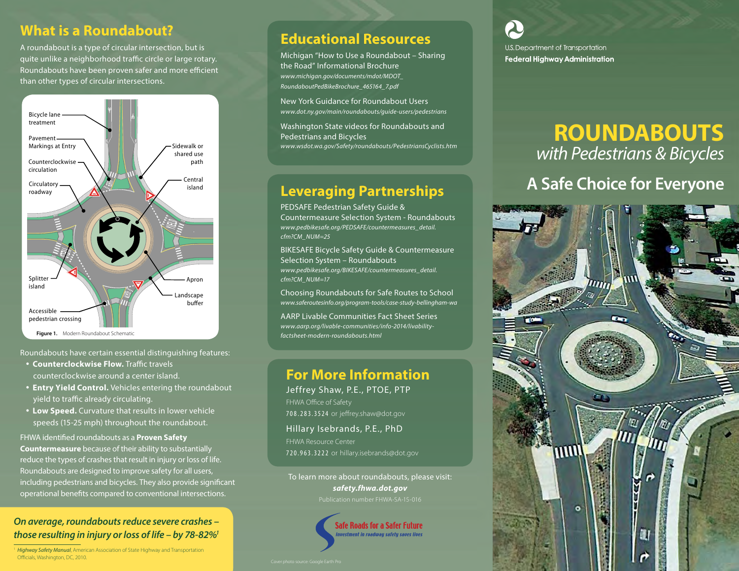### **What is a Roundabout?**

A roundabout is a type of circular intersection, but is quite unlike a neighborhood traffic circle or large rotary. Roundabouts have been proven safer and more efficient than other types of circular intersections.



#### Roundabouts have certain essential distinguishing features:

- **Counterclockwise Flow.** Traffic travels counterclockwise around a center island.
- **Entry Yield Control.** Vehicles entering the roundabout yield to traffic already circulating.
- **Low Speed.** Curvature that results in lower vehicle speeds (15-25 mph) throughout the roundabout.

FHWA identified roundabouts as a **Proven Safety Countermeasure** because of their ability to substantially reduce the types of crashes that result in injury or loss of life.

Roundabouts are designed to improve safety for all users, including pedestrians and bicycles. They also provide significant operational benefits compared to conventional intersections.

#### *On average, roundabouts reduce severe crashes – those resulting in injury or loss of life – by 78-82%1*

<sup>1</sup> *Highway Safety Manual*, American Association of State Highway and Transportation Officials, Washington, DC, 2010.

### **Educational Resources**

Michigan "How to Use a Roundabout – Sharing the Road" Informational Brochure *[www.michigan.gov/documents/mdot/MDOT\\_](www.michigan.gov/documents/mdot/MDOT_RoundaboutPedBikeBrochure_465164_7.pdf) RoundaboutPedBikeBrochure\_465164\_7.pdf*

New York Guidance for Roundabout Users *www.dot.ny.gov/main/roundabouts/guide-users/pedestrians*

Washington State videos for Roundabouts and Pedestrians and Bicycles *www.wsdot.wa.gov/Safety/roundabouts/PedestriansCyclists.htm*

## **Leveraging Partnerships**

PEDSAFE Pedestrian Safety Guide & Countermeasure Selection System - Roundabouts *[www.pedbikesafe.org/PEDSAFE/countermeasures\\_detail.](www.pedbikesafe.org/PEDSAFE/countermeasures_detail.cfm?CM_NUM=25) cfm?CM\_NUM=25* 

BIKESAFE Bicycle Safety Guide & Countermeasure Selection System – Roundabouts *[www.pedbikesafe.org/BIKESAFE/countermeasures\\_detail.](www.pedbikesafe.org/BIKESAFE/countermeasures_detail.cfm?CM_NUM=17) cfm?CM\_NUM=17* 

Choosing Roundabouts for Safe Routes to School *www.saferoutesinfo.org/program-tools/case-study-bellingham-wa*

AARP Livable Communities Fact Sheet Series *www.aarp.org/livable-communities/info-2014/livabilityfactsheet-modern-roundabouts.html*

### **For More Information**

Jeffrey Shaw, P.E., PTOE, PTP FHWA Office of Safety 708.283.3524 or jeffrey.shaw@dot.gov

Hillary Isebrands, P.E., PhD FHWA Resource Center 720.963.3222 or hillary.isebrands@dot.gov

To learn more about roundabouts, please visit: *safety.fhwa.dot.gov*



U.S. Department of Transportation **Federal Highway Administration** 

# **ROUNDABOUTS** *with Pedestrians & Bicycles*

## **A Safe Choice for Everyone**